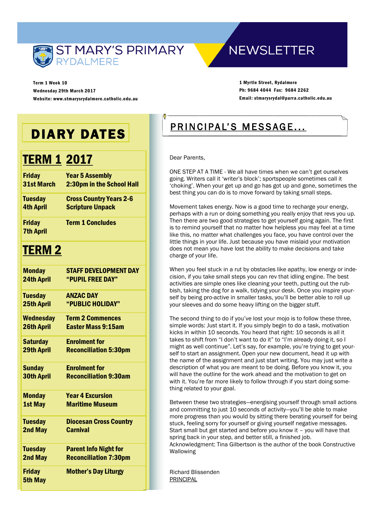

Term 1 Week 10 Wednesday 29th March 2017 Website: www.stmarysrydalmere.catholic.edu.au

# **NEWSLETTER**

1 Myrtle Street, Rydalmere Ph: 9684 4044 Fax: 9684 2262 Email: stmarysrydal@parra.catholic.edu.au

# DIARY DATES

# TERM 1 2017

| <b>Friday</b>                     | <b>Year 5 Assembly</b>         |
|-----------------------------------|--------------------------------|
| 31st March                        | 2:30pm in the School Hall      |
| <b>Tuesday</b>                    | <b>Cross Country Years 2-6</b> |
| <b>4th April</b>                  | <b>Scripture Unpack</b>        |
| <b>Friday</b><br><b>7th April</b> | <b>Term 1 Concludes</b>        |
| <u><b>TERM 2</b></u>              |                                |
| <b>Monday</b>                     | <b>STAFF DEVELOPMENT DAY</b>   |
| <b>24th April</b>                 | "PUPIL FREE DAY"               |
| <b>Tuesday</b>                    | <b>ANZAC DAY</b>               |
| <b>25th April</b>                 | "PUBLIC HOLIDAY"               |
| <b>Wednesday</b>                  | <b>Term 2 Commences</b>        |
| <b>26th April</b>                 | <b>Easter Mass 9:15am</b>      |
| <b>Saturday</b>                   | <b>Enrolment for</b>           |
| <b>29th April</b>                 | <b>Reconciliation 5:30pm</b>   |
| <b>Sunday</b>                     | <b>Enrolment for</b>           |
| <b>30th April</b>                 | <b>Reconciliation 9:30am</b>   |
| <b>Monday</b>                     | <b>Year 4 Excursion</b>        |
| <b>1st May</b>                    | <b>Maritime Museum</b>         |
| <b>Tuesday</b>                    | <b>Diocesan Cross Country</b>  |
| 2nd May                           | <b>Carnival</b>                |
| <b>Tuesday</b>                    | <b>Parent Info Night for</b>   |
| 2nd May                           | <b>Reconciliation 7:30pm</b>   |
| <b>Friday</b><br><b>5th May</b>   | <b>Mother's Day Liturgy</b>    |

# PRINCIPAL'S MESSAGE...

Dear Parents,

ONE STEP AT A TIME - We all have times when we can't get ourselves going. Writers call it 'writer's block'; sportspeople sometimes call it 'choking'. When your get up and go has got up and gone, sometimes the best thing you can do is to move forward by taking small steps.

Movement takes energy. Now is a good time to recharge your energy, perhaps with a run or doing something you really enjoy that revs you up. Then there are two good strategies to get yourself going again. The first is to remind yourself that no matter how helpless you may feel at a time like this, no matter what challenges you face, you have control over the little things in your life. Just because you have mislaid your motivation does not mean you have lost the ability to make decisions and take charge of your life.

When you feel stuck in a rut by obstacles like apathy, low energy or indecision, if you take small steps you can rev that idling engine. The best activities are simple ones like cleaning your teeth, putting out the rubbish, taking the dog for a walk, tidying your desk. Once you inspire yourself by being pro-active in smaller tasks, you'll be better able to roll up your sleeves and do some heavy lifting on the bigger stuff.

The second thing to do if you've lost your mojo is to follow these three, simple words: Just start it. If you simply begin to do a task, motivation kicks in within 10 seconds. You heard that right: 10 seconds is all it takes to shift from "I don't want to do it" to "I'm already doing it, so I might as well continue". Let's say, for example, you're trying to get yourself to start an assignment. Open your new document, head it up with the name of the assignment and just start writing. You may just write a description of what you are meant to be doing. Before you know it, you will have the outline for the work ahead and the motivation to get on with it. You're far more likely to follow through if you start doing something related to your goal.

Between these two strategies—energising yourself through small actions and committing to just 10 seconds of activity—you'll be able to make more progress than you would by sitting there berating yourself for being stuck, feeling sorry for yourself or giving yourself negative messages. Start small but get started and before you know it – you will have that spring back in your step, and better still, a finished job. Acknowledgment: Tina Gilbertson is the author of the book Constructive Wallowing

Richard Blissenden PRINCIPAL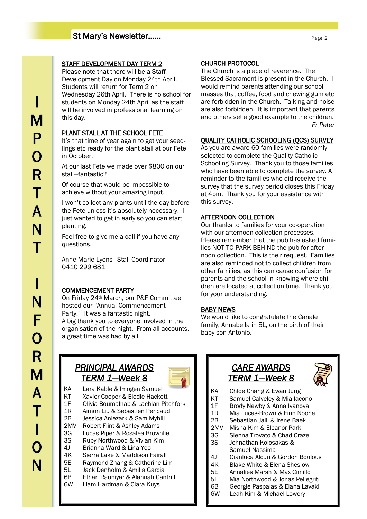# St Mary's Newsletter……

# STAFF DEVELOPMENT DAY TERM 2

Please note that there will be a Staff Development Day on Monday 24th April. Students will return for Term 2 on Wednesday 26th April. There is no school for students on Monday 24th April as the staff will be involved in professional learning on this day.

## PLANT STALL AT THE SCHOOL FETE

It's that time of year again to get your seedlings etc ready for the plant stall at our Fete in October.

At our last Fete we made over \$800 on our stall—fantastic!!

Of course that would be impossible to achieve without your amazing input.

I won't collect any plants until the day before the Fete unless it's absolutely necessary. I just wanted to get in early so you can start planting.

Feel free to give me a call if you have any questions.

Anne Marie Lyons—Stall Coordinator 0410 299 681

## COMMENCEMENT PARTY

On Friday 24th March, our P&F Committee hosted our "Annual Commencement Party." It was a fantastic night. A big thank you to everyone involved in the organisation of the night. From all accounts, a great time was had by all.

## CHURCH PROTOCOL

The Church is a place of reverence. The Blessed Sacrament is present in the Church. I would remind parents attending our school masses that coffee, food and chewing gum etc are forbidden in the Church. Talking and noise are also forbidden. It is important that parents and others set a good example to the children. *Fr Peter*

#### QUALITY CATHOLIC SCHOOLING (QCS) SURVEY

As you are aware 60 families were randomly selected to complete the Quality Catholic Schooling Survey. Thank you to those families who have been able to complete the survey. A reminder to the families who did receive the survey that the survey period closes this Friday at 4pm. Thank you for your assistance with this survey.

### AFTERNOON COLLECTION

Our thanks to families for your co-operation with our afternoon collection processes. Please remember that the pub has asked families NOT TO PARK BEHIND the pub for afternoon collection. This is their request. Families are also reminded not to collect children from other families, as this can cause confusion for parents and the school in knowing where children are located at collection time. Thank you for your understanding.

#### BABY NEWS

We would like to congratulate the Canale family, Annabella in 5L, on the birth of their baby son Antonio.

# *PRINCIPAL AWARDS TERM 1—Week 8*



KA Lara Kable & Imogen Samuel KT Xavier Cooper & Elodie Hackett 1F Olivia Boumalhab & Lachlan Pitchfork 1R Aimon Liu & Sebastien Pericaud 2B Jessica Anlezark & Sam Myhill 2MV Robert Flint & Ashley Adams 3G Lucas Piper & Rosalea Brownlie 3S Ruby Northwood & Vivian Kim 4J Brianna Ward & Lina Yoo 4K Sierra Lake & Maddison Fairall<br>5E Raymond Zhang & Catherine Li 5E Raymond Zhang & Catherine Lim 5L Jack Denholm & Amilia Garcia 6B Ethan Rauniyar & Alannah Cantrill 6W Liam Hardman & Ciara Kuys

# *CARE AWARDS TERM 1—Week 8*



- KA Chloe Chang & Ewan Jung
- KT Samuel Calveley & Mia Iacono
- 1F Brody Newby & Anna Ivanova
- 1R Mia Lucas-Brown & Finn Noone
- 2B Sebastian Jalil & Irene Baek
- 2MV Misha Kim & Eleanor Park<br>3G Sienna Trovato & Chad Cra
- Sienna Trovato & Chad Craze 3S Johnathan Kolosakas &
- Samuel Nassima 4J Gianluca Alcuri & Gordon Boulous
- 
- 4K Blake White & Elena Sheslow
- 5E Annalies Marsh & Max Cimillo
- 5L Mia Northwood & Jonas Pellegriti
- 6B Georgie Paspalas & Elana Lavaki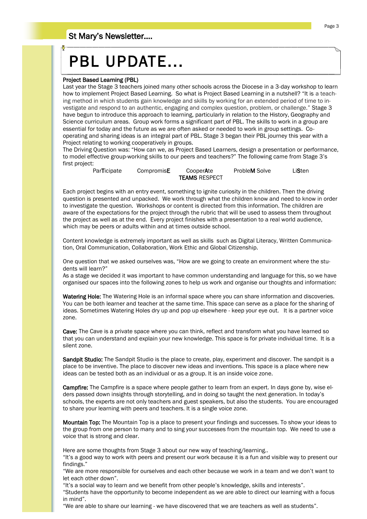# St Mary's Newsletter….

# PBL UPDATE...

#### Project Based Learning (PBL)

Last year the Stage 3 teachers joined many other schools across the Diocese in a 3-day workshop to learn how to implement Project Based Learning. So what is Project Based Learning in a nutshell? "It is a teaching method in which students gain knowledge and skills by working for an extended period of time to investigate and respond to an authentic, engaging and complex question, problem, or challenge." Stage 3 have begun to introduce this approach to learning, particularly in relation to the History, Geography and Science curriculum areas. Group work forms a significant part of PBL. The skills to work in a group are essential for today and the future as we are often asked or needed to work in group settings. Cooperating and sharing ideas is an integral part of PBL. Stage 3 began their PBL journey this year with a Project relating to working cooperatively in groups.

The Driving Question was: "How can we, as Project Based Learners, design a presentation or performance, to model effective group-working skills to our peers and teachers?" The following came from Stage 3's first project:

> ParTicipate CompromisE CooperAte ProbleM Solve LiSten TEAMS RESPECT

Each project begins with an entry event, something to ignite curiosity in the children. Then the driving question is presented and unpacked. We work through what the children know and need to know in order to investigate the question. Workshops or content is directed from this information. The children are aware of the expectations for the project through the rubric that will be used to assess them throughout the project as well as at the end. Every project finishes with a presentation to a real world audience, which may be peers or adults within and at times outside school.

Content knowledge is extremely important as well as skills such as Digital Literacy, Written Communication, Oral Communication, Collaboration, Work Ethic and Global Citizenship.

One question that we asked ourselves was, "How are we going to create an environment where the students will learn?"

As a stage we decided it was important to have common understanding and language for this, so we have organised our spaces into the following zones to help us work and organise our thoughts and information:

Watering Hole: The Watering Hole is an informal space where you can share information and discoveries. You can be both learner and teacher at the same time. This space can serve as a place for the sharing of ideas. Sometimes Watering Holes dry up and pop up elsewhere - keep your eye out. It is a partner voice zone.

Cave: The Cave is a private space where you can think, reflect and transform what you have learned so that you can understand and explain your new knowledge. This space is for private individual time. It is a silent zone.

Sandpit Studio: The Sandpit Studio is the place to create, play, experiment and discover. The sandpit is a place to be inventive. The place to discover new ideas and inventions. This space is a place where new ideas can be tested both as an individual or as a group. It is an inside voice zone.

Campfire: The Campfire is a space where people gather to learn from an expert. In days gone by, wise elders passed down insights through storytelling, and in doing so taught the next generation. In today's schools, the experts are not only teachers and guest speakers, but also the students. You are encouraged to share your learning with peers and teachers. It is a single voice zone.

Mountain Top: The Mountain Top is a place to present your findings and successes. To show your ideas to the group from one person to many and to sing your successes from the mountain top. We need to use a voice that is strong and clear.

Here are some thoughts from Stage 3 about our new way of teaching/learning..

"It's a good way to work with peers and present our work because it is a fun and visible way to present our findings."

"We are more responsible for ourselves and each other because we work in a team and we don't want to let each other down".

"It's a social way to learn and we benefit from other people's knowledge, skills and interests".

"Students have the opportunity to become independent as we are able to direct our learning with a focus in mind".

"We are able to share our learning - we have discovered that we are teachers as well as students".